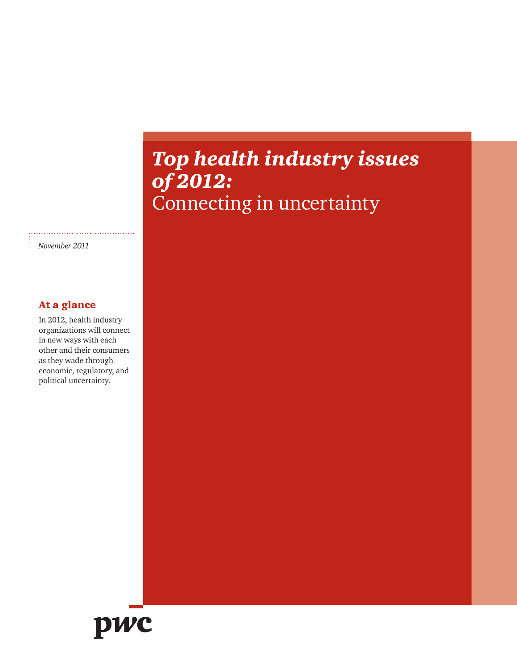## *Top health industry issues of 2012:* Connecting in uncertainty

*November 2011*

#### At a glance

In 2012, health industry organizations will connect in new ways with each other and their consumers as they wade through economic, regulatory, and political uncertainty.

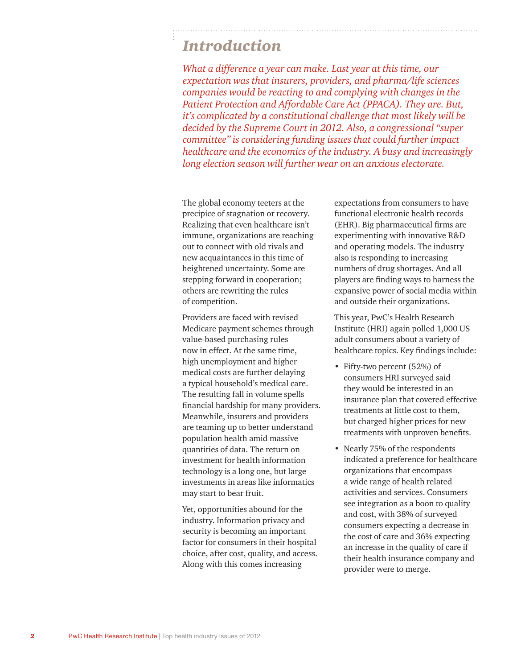### *Introduction*

*What a difference a year can make. Last year at this time, our expectation was that insurers, providers, and pharma/life sciences companies would be reacting to and complying with changes in the Patient Protection and Affordable Care Act (PPACA). They are. But, it's complicated by a constitutional challenge that most likely will be decided by the Supreme Court in 2012. Also, a congressional "super committee" is considering funding issues that could further impact healthcare and the economics of the industry. A busy and increasingly long election season will further wear on an anxious electorate.* 

The global economy teeters at the precipice of stagnation or recovery. Realizing that even healthcare isn't immune, organizations are reaching out to connect with old rivals and new acquaintances in this time of heightened uncertainty. Some are stepping forward in cooperation; others are rewriting the rules of competition.

Providers are faced with revised Medicare payment schemes through value-based purchasing rules now in effect. At the same time, high unemployment and higher medical costs are further delaying a typical household's medical care. The resulting fall in volume spells financial hardship for many providers. Meanwhile, insurers and providers are teaming up to better understand population health amid massive quantities of data. The return on investment for health information technology is a long one, but large investments in areas like informatics may start to bear fruit.

Yet, opportunities abound for the industry. Information privacy and security is becoming an important factor for consumers in their hospital choice, after cost, quality, and access. Along with this comes increasing

expectations from consumers to have functional electronic health records (EHR). Big pharmaceutical firms are experimenting with innovative R&D and operating models. The industry also is responding to increasing numbers of drug shortages. And all players are finding ways to harness the expansive power of social media within and outside their organizations.

This year, PwC's Health Research Institute (HRI) again polled 1,000 US adult consumers about a variety of healthcare topics. Key findings include:

- Fifty-two percent (52%) of consumers HRI surveyed said they would be interested in an insurance plan that covered effective treatments at little cost to them, but charged higher prices for new treatments with unproven benefits.
- Nearly 75% of the respondents indicated a preference for healthcare organizations that encompass a wide range of health related activities and services. Consumers see integration as a boon to quality and cost, with 38% of surveyed consumers expecting a decrease in the cost of care and 36% expecting an increase in the quality of care if their health insurance company and provider were to merge.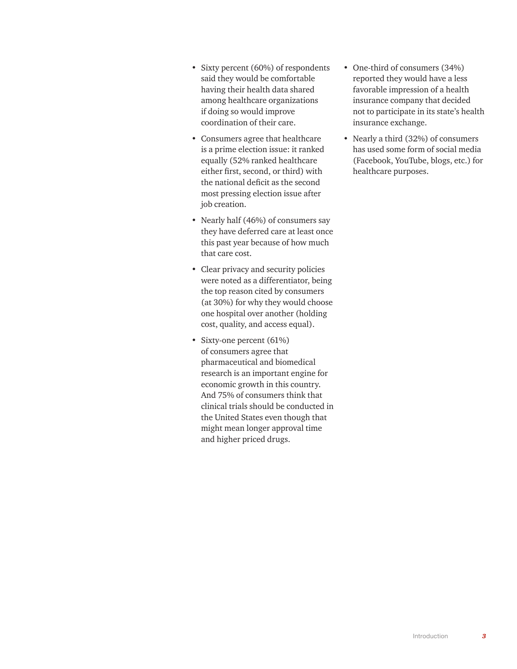- Sixty percent (60%) of respondents said they would be comfortable having their health data shared among healthcare organizations if doing so would improve coordination of their care.
- Consumers agree that healthcare is a prime election issue: it ranked equally (52% ranked healthcare either first, second, or third) with the national deficit as the second most pressing election issue after job creation.
- Nearly half (46%) of consumers say they have deferred care at least once this past year because of how much that care cost.
- Clear privacy and security policies were noted as a differentiator, being the top reason cited by consumers (at 30%) for why they would choose one hospital over another (holding cost, quality, and access equal).
- Sixty-one percent (61%) of consumers agree that pharmaceutical and biomedical research is an important engine for economic growth in this country. And 75% of consumers think that clinical trials should be conducted in the United States even though that might mean longer approval time and higher priced drugs.
- One-third of consumers (34%) reported they would have a less favorable impression of a health insurance company that decided not to participate in its state's health insurance exchange.
- Nearly a third (32%) of consumers has used some form of social media (Facebook, YouTube, blogs, etc.) for healthcare purposes.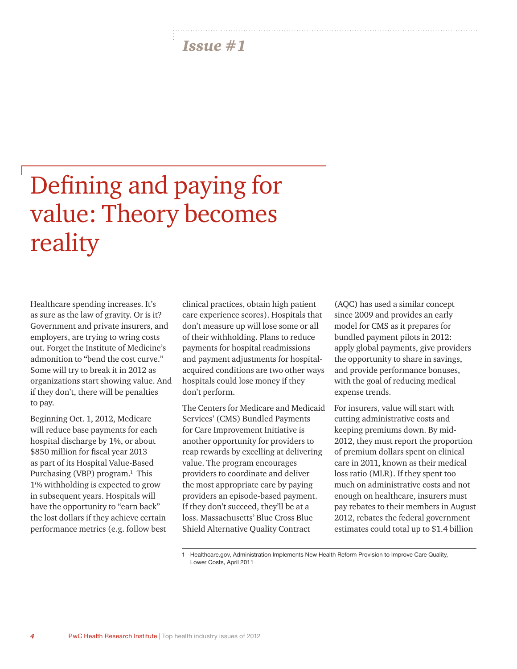# Defining and paying for value: Theory becomes reality

Healthcare spending increases. It's as sure as the law of gravity. Or is it? Government and private insurers, and employers, are trying to wring costs out. Forget the Institute of Medicine's admonition to "bend the cost curve." Some will try to break it in 2012 as organizations start showing value. And if they don't, there will be penalties to pay.

Beginning Oct. 1, 2012, Medicare will reduce base payments for each hospital discharge by 1%, or about \$850 million for fiscal year 2013 as part of its Hospital Value-Based Purchasing (VBP) program.<sup>1</sup> This 1% withholding is expected to grow in subsequent years. Hospitals will have the opportunity to "earn back" the lost dollars if they achieve certain performance metrics (e.g. follow best

clinical practices, obtain high patient care experience scores). Hospitals that don't measure up will lose some or all of their withholding. Plans to reduce payments for hospital readmissions and payment adjustments for hospitalacquired conditions are two other ways hospitals could lose money if they don't perform.

The Centers for Medicare and Medicaid Services' (CMS) Bundled Payments for Care Improvement Initiative is another opportunity for providers to reap rewards by excelling at delivering value. The program encourages providers to coordinate and deliver the most appropriate care by paying providers an episode-based payment. If they don't succeed, they'll be at a loss. Massachusetts' Blue Cross Blue Shield Alternative Quality Contract

(AQC) has used a similar concept since 2009 and provides an early model for CMS as it prepares for bundled payment pilots in 2012: apply global payments, give providers the opportunity to share in savings, and provide performance bonuses, with the goal of reducing medical expense trends.

For insurers, value will start with cutting administrative costs and keeping premiums down. By mid-2012, they must report the proportion of premium dollars spent on clinical care in 2011, known as their medical loss ratio (MLR). If they spent too much on administrative costs and not enough on healthcare, insurers must pay rebates to their members in August 2012, rebates the federal government estimates could total up to \$1.4 billion

1 Healthcare.gov, Administration Implements New Health Reform Provision to Improve Care Quality, Lower Costs, April 2011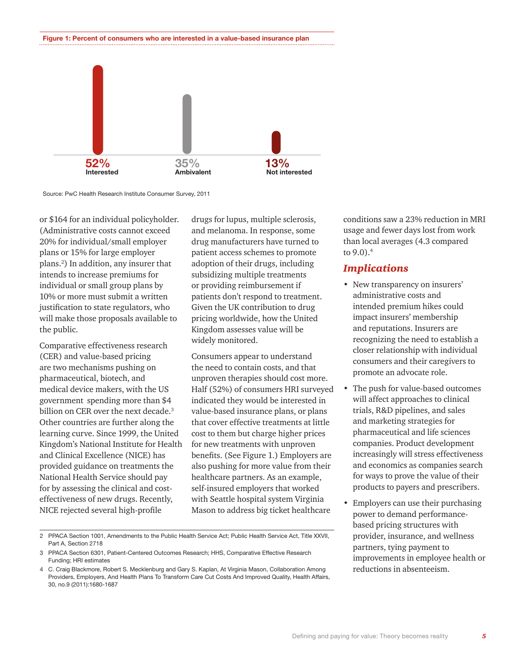#### **Figure 1: Percent of consumers who are interested in a value-based insurance plan**



Source: PwC Health Research Institute Consumer Survey, 2011

or \$164 for an individual policyholder. (Administrative costs cannot exceed 20% for individual/small employer plans or 15% for large employer plans.2 ) In addition, any insurer that intends to increase premiums for individual or small group plans by 10% or more must submit a written justification to state regulators, who will make those proposals available to the public.

Comparative effectiveness research (CER) and value-based pricing are two mechanisms pushing on pharmaceutical, biotech, and medical device makers, with the US government spending more than \$4 billion on CER over the next decade.<sup>3</sup> Other countries are further along the learning curve. Since 1999, the United Kingdom's National Institute for Health and Clinical Excellence (NICE) has provided guidance on treatments the National Health Service should pay for by assessing the clinical and costeffectiveness of new drugs. Recently, NICE rejected several high-profile

drugs for lupus, multiple sclerosis, and melanoma. In response, some drug manufacturers have turned to patient access schemes to promote adoption of their drugs, including subsidizing multiple treatments or providing reimbursement if patients don't respond to treatment. Given the UK contribution to drug pricing worldwide, how the United Kingdom assesses value will be widely monitored.

Consumers appear to understand the need to contain costs, and that unproven therapies should cost more. Half (52%) of consumers HRI surveyed indicated they would be interested in value-based insurance plans, or plans that cover effective treatments at little cost to them but charge higher prices for new treatments with unproven benefits. (See Figure 1.) Employers are also pushing for more value from their healthcare partners. As an example, self-insured employers that worked with Seattle hospital system Virginia Mason to address big ticket healthcare

2 PPACA Section 1001, Amendments to the Public Health Service Act; Public Health Service Act, Title XXVII, Part A, Section 2718

conditions saw a 23% reduction in MRI usage and fewer days lost from work than local averages (4.3 compared to 9.0).<sup>4</sup>

#### *Implications*

- New transparency on insurers' administrative costs and intended premium hikes could impact insurers' membership and reputations. Insurers are recognizing the need to establish a closer relationship with individual consumers and their caregivers to promote an advocate role.
- The push for value-based outcomes will affect approaches to clinical trials, R&D pipelines, and sales and marketing strategies for pharmaceutical and life sciences companies. Product development increasingly will stress effectiveness and economics as companies search for ways to prove the value of their products to payers and prescribers.
- Employers can use their purchasing power to demand performancebased pricing structures with provider, insurance, and wellness partners, tying payment to improvements in employee health or reductions in absenteeism.

<sup>3</sup> PPACA Section 6301, Patient-Centered Outcomes Research; HHS, Comparative Effective Research Funding; HRI estimates

<sup>4</sup> C. Craig Blackmore, Robert S. Mecklenburg and Gary S. Kaplan, At Virginia Mason, Collaboration Among Providers, Employers, And Health Plans To Transform Care Cut Costs And Improved Quality, Health Affairs, 30, no.9 (2011):1680-1687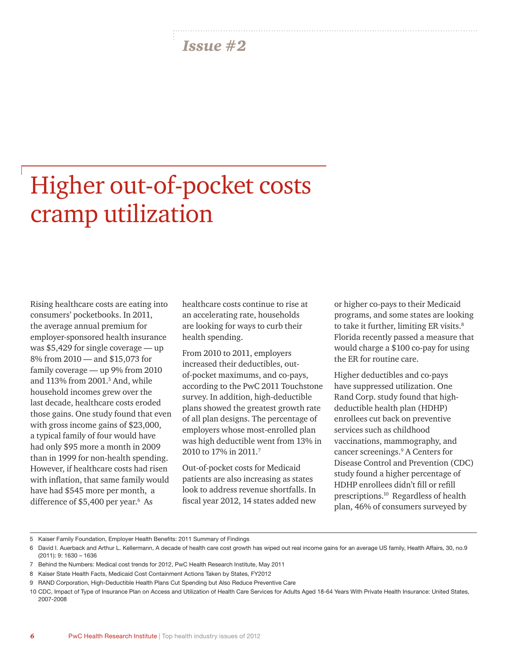## Higher out-of-pocket costs cramp utilization

Rising healthcare costs are eating into consumers' pocketbooks. In 2011, the average annual premium for employer-sponsored health insurance was \$5,429 for single coverage — up 8% from 2010 — and \$15,073 for family coverage — up 9% from 2010 and 113% from 2001.<sup>5</sup> And, while household incomes grew over the last decade, healthcare costs eroded those gains. One study found that even with gross income gains of \$23,000, a typical family of four would have had only \$95 more a month in 2009 than in 1999 for non-health spending. However, if healthcare costs had risen with inflation, that same family would have had \$545 more per month, a difference of \$5,400 per year.<sup>6</sup> As

healthcare costs continue to rise at an accelerating rate, households are looking for ways to curb their health spending.

From 2010 to 2011, employers increased their deductibles, outof-pocket maximums, and co-pays, according to the PwC 2011 Touchstone survey. In addition, high-deductible plans showed the greatest growth rate of all plan designs. The percentage of employers whose most-enrolled plan was high deductible went from 13% in 2010 to 17% in 2011.7

Out-of-pocket costs for Medicaid patients are also increasing as states look to address revenue shortfalls. In fiscal year 2012, 14 states added new or higher co-pays to their Medicaid programs, and some states are looking to take it further, limiting ER visits.<sup>8</sup> Florida recently passed a measure that would charge a \$100 co-pay for using the ER for routine care.

Higher deductibles and co-pays have suppressed utilization. One Rand Corp. study found that highdeductible health plan (HDHP) enrollees cut back on preventive services such as childhood vaccinations, mammography, and cancer screenings.<sup>9</sup> A Centers for Disease Control and Prevention (CDC) study found a higher percentage of HDHP enrollees didn't fill or refill prescriptions.10 Regardless of health plan, 46% of consumers surveyed by

<sup>5</sup> Kaiser Family Foundation, Employer Health Benefits: 2011 Summary of Findings

<sup>6</sup> David I. Auerback and Arthur L. Kellermann, A decade of health care cost growth has wiped out real income gains for an average US family, Health Affairs, 30, no.9 (2011): 9: 1630 – 1636

<sup>7</sup> Behind the Numbers: Medical cost trends for 2012, PwC Health Research Institute, May 2011

<sup>8</sup> Kaiser State Health Facts, Medicaid Cost Containment Actions Taken by States, FY2012

<sup>9</sup> RAND Corporation, High-Deductible Health Plans Cut Spending but Also Reduce Preventive Care

<sup>10</sup> CDC, Impact of Type of Insurance Plan on Access and Utilization of Health Care Services for Adults Aged 18-64 Years With Private Health Insurance: United States, 2007-2008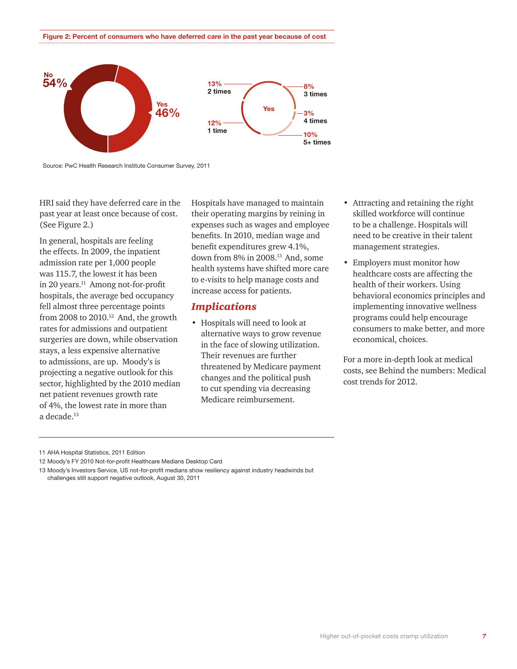**Figure 2: Percent of consumers who have deferred care in the past year because of cost**



Source: PwC Health Research Institute Consumer Survey, 2011

HRI said they have deferred care in the past year at least once because of cost. (See Figure 2.)

In general, hospitals are feeling the effects. In 2009, the inpatient admission rate per 1,000 people was 115.7, the lowest it has been in 20 years.<sup>11</sup> Among not-for-profit hospitals, the average bed occupancy fell almost three percentage points from 2008 to 2010.<sup>12</sup> And, the growth rates for admissions and outpatient surgeries are down, while observation stays, a less expensive alternative to admissions, are up. Moody's is projecting a negative outlook for this sector, highlighted by the 2010 median net patient revenues growth rate of 4%, the lowest rate in more than a decade.<sup>13</sup>

Hospitals have managed to maintain their operating margins by reining in expenses such as wages and employee benefits. In 2010, median wage and benefit expenditures grew 4.1%, down from 8% in 2008.13 And, some health systems have shifted more care to e-visits to help manage costs and increase access for patients.

#### *Implications*

• Hospitals will need to look at alternative ways to grow revenue in the face of slowing utilization. Their revenues are further threatened by Medicare payment changes and the political push to cut spending via decreasing Medicare reimbursement.

- Attracting and retaining the right skilled workforce will continue to be a challenge. Hospitals will need to be creative in their talent management strategies.
- Employers must monitor how healthcare costs are affecting the health of their workers. Using behavioral economics principles and implementing innovative wellness programs could help encourage consumers to make better, and more economical, choices.

For a more in-depth look at medical costs, see [Behind the numbers: Medical](http://www.pwc.com/us/en/health-industries/publications/behind-the-numbers-medical-cost-trends-2012.jhtml) [cost trends for 2012.](http://www.pwc.com/us/en/health-industries/publications/behind-the-numbers-medical-cost-trends-2012.jhtml) 

<sup>11</sup> AHA Hospital Statistics, 2011 Edition

<sup>12</sup> Moody's FY 2010 Not-for-profit Healthcare Medians Desktop Card

<sup>13</sup> Moody's Investors Service, US not-for-profit medians show resiliency against industry headwinds but challenges still support negative outlook, August 30, 2011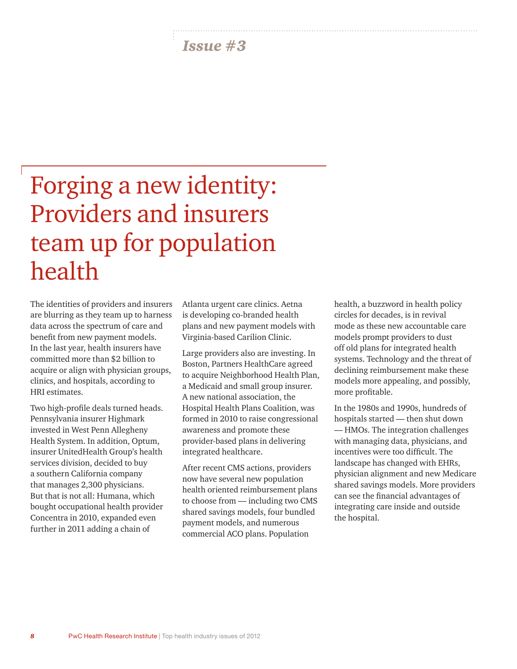## Forging a new identity: Providers and insurers team up for population health

The identities of providers and insurers are blurring as they team up to harness data across the spectrum of care and benefit from new payment models. In the last year, health insurers have committed more than \$2 billion to acquire or align with physician groups, clinics, and hospitals, according to HRI estimates.

Two high-profile deals turned heads. Pennsylvania insurer Highmark invested in West Penn Allegheny Health System. In addition, Optum, insurer UnitedHealth Group's health services division, decided to buy a southern California company that manages 2,300 physicians. But that is not all: Humana, which bought occupational health provider Concentra in 2010, expanded even further in 2011 adding a chain of

Atlanta urgent care clinics. Aetna is developing co-branded health plans and new payment models with Virginia-based Carilion Clinic.

Large providers also are investing. In Boston, Partners HealthCare agreed to acquire Neighborhood Health Plan, a Medicaid and small group insurer. A new national association, the Hospital Health Plans Coalition, was formed in 2010 to raise congressional awareness and promote these provider-based plans in delivering integrated healthcare.

After recent CMS actions, providers now have several new population health oriented reimbursement plans to choose from — including two CMS shared savings models, four bundled payment models, and numerous commercial ACO plans. Population

health, a buzzword in health policy circles for decades, is in revival mode as these new accountable care models prompt providers to dust off old plans for integrated health systems. Technology and the threat of declining reimbursement make these models more appealing, and possibly, more profitable.

In the 1980s and 1990s, hundreds of hospitals started — then shut down — HMOs. The integration challenges with managing data, physicians, and incentives were too difficult. The landscape has changed with EHRs, physician alignment and new Medicare shared savings models. More providers can see the financial advantages of integrating care inside and outside the hospital.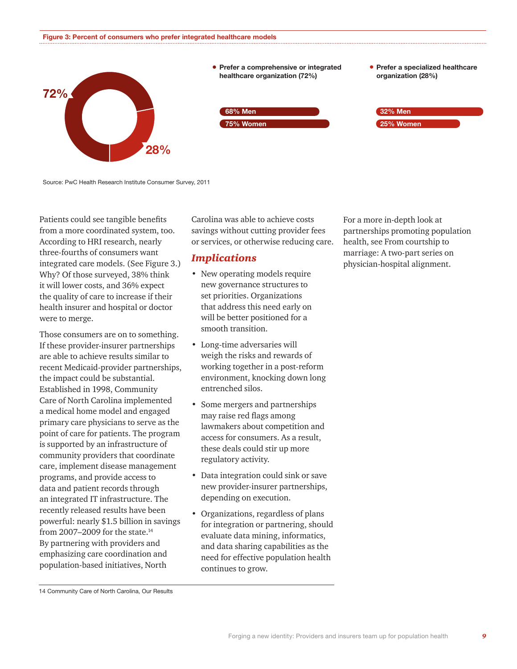

Source: PwC Health Research Institute Consumer Survey, 2011

Patients could see tangible benefits from a more coordinated system, too. According to HRI research, nearly three-fourths of consumers want integrated care models. (See Figure 3.) Why? Of those surveyed, 38% think it will lower costs, and 36% expect the quality of care to increase if their health insurer and hospital or doctor were to merge.

Those consumers are on to something. If these provider-insurer partnerships are able to achieve results similar to recent Medicaid-provider partnerships, the impact could be substantial. Established in 1998, Community Care of North Carolina implemented a medical home model and engaged primary care physicians to serve as the point of care for patients. The program is supported by an infrastructure of community providers that coordinate care, implement disease management programs, and provide access to data and patient records through an integrated IT infrastructure. The recently released results have been powerful: nearly \$1.5 billion in savings from 2007–2009 for the state.14 By partnering with providers and emphasizing care coordination and population-based initiatives, North

Carolina was able to achieve costs savings without cutting provider fees or services, or otherwise reducing care.

#### *Implications*

- New operating models require new governance structures to set priorities. Organizations that address this need early on will be better positioned for a smooth transition.
- Long-time adversaries will weigh the risks and rewards of working together in a post-reform environment, knocking down long entrenched silos.
- Some mergers and partnerships may raise red flags among lawmakers about competition and access for consumers. As a result, these deals could stir up more regulatory activity.
- Data integration could sink or save new provider-insurer partnerships, depending on execution.
- Organizations, regardless of plans for integration or partnering, should evaluate data mining, informatics, and data sharing capabilities as the need for effective population health continues to grow.

For a more in-depth look at partnerships promoting population health, see [From courtship to](http://www.pwc.com/us/en/health-industries/publications/from-courtship-to-marriage-series.jhtml)  [marriage: A two-part series on](http://www.pwc.com/us/en/health-industries/publications/from-courtship-to-marriage-series.jhtml)  [physician-hospital alignment.](http://www.pwc.com/us/en/health-industries/publications/from-courtship-to-marriage-series.jhtml)

14 Community Care of North Carolina, Our Results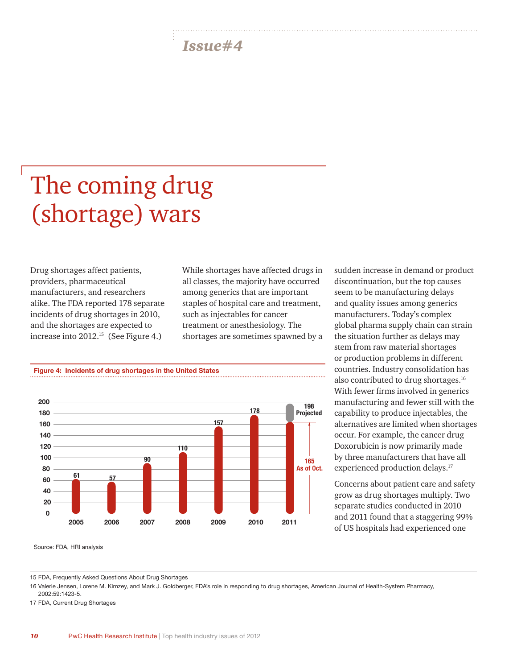# The coming drug (shortage) wars

Drug shortages affect patients, providers, pharmaceutical manufacturers, and researchers alike. The FDA reported 178 separate incidents of drug shortages in 2010, and the shortages are expected to increase into 2012.15 (See Figure 4.)

While shortages have affected drugs in all classes, the majority have occurred among generics that are important staples of hospital care and treatment, such as injectables for cancer treatment or anesthesiology. The shortages are sometimes spawned by a



sudden increase in demand or product discontinuation, but the top causes seem to be manufacturing delays and quality issues among generics manufacturers. Today's complex global pharma supply chain can strain the situation further as delays may stem from raw material shortages or production problems in different countries. Industry consolidation has also contributed to drug shortages.16 With fewer firms involved in generics manufacturing and fewer still with the capability to produce injectables, the alternatives are limited when shortages occur. For example, the cancer drug Doxorubicin is now primarily made by three manufacturers that have all experienced production delays.<sup>17</sup>

Concerns about patient care and safety grow as drug shortages multiply. Two separate studies conducted in 2010 and 2011 found that a staggering 99% of US hospitals had experienced one

Source: FDA, HRI analysis

15 FDA, Frequently Asked Questions About Drug Shortages

16 Valerie Jensen, Lorene M. Kimzey, and Mark J. Goldberger, FDA's role in responding to drug shortages, American Journal of Health-System Pharmacy, 2002:59:1423-5.

17 FDA, Current Drug Shortages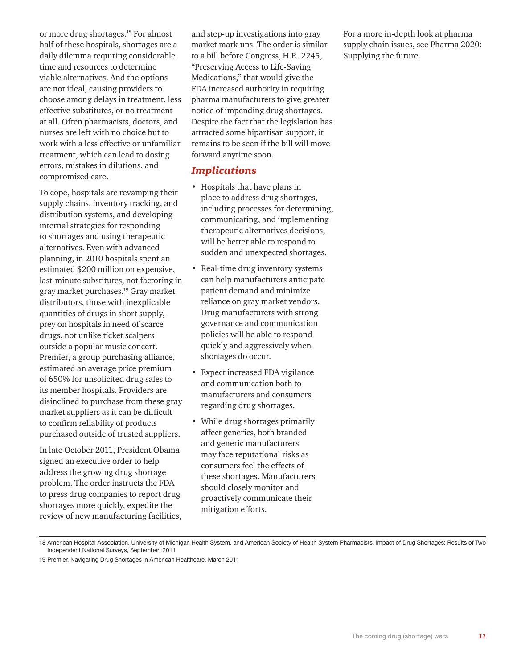or more drug shortages.18 For almost half of these hospitals, shortages are a daily dilemma requiring considerable time and resources to determine viable alternatives. And the options are not ideal, causing providers to choose among delays in treatment, less effective substitutes, or no treatment at all. Often pharmacists, doctors, and nurses are left with no choice but to work with a less effective or unfamiliar treatment, which can lead to dosing errors, mistakes in dilutions, and compromised care.

To cope, hospitals are revamping their supply chains, inventory tracking, and distribution systems, and developing internal strategies for responding to shortages and using therapeutic alternatives. Even with advanced planning, in 2010 hospitals spent an estimated \$200 million on expensive, last-minute substitutes, not factoring in gray market purchases.19 Gray market distributors, those with inexplicable quantities of drugs in short supply, prey on hospitals in need of scarce drugs, not unlike ticket scalpers outside a popular music concert. Premier, a group purchasing alliance, estimated an average price premium of 650% for unsolicited drug sales to its member hospitals. Providers are disinclined to purchase from these gray market suppliers as it can be difficult to confirm reliability of products purchased outside of trusted suppliers.

In late October 2011, President Obama signed an executive order to help address the growing drug shortage problem. The order instructs the FDA to press drug companies to report drug shortages more quickly, expedite the review of new manufacturing facilities, and step-up investigations into gray market mark-ups. The order is similar to a bill before Congress, H.R. 2245, "Preserving Access to Life-Saving Medications," that would give the FDA increased authority in requiring pharma manufacturers to give greater notice of impending drug shortages. Despite the fact that the legislation has attracted some bipartisan support, it remains to be seen if the bill will move forward anytime soon.

#### *Implications*

- Hospitals that have plans in place to address drug shortages, including processes for determining, communicating, and implementing therapeutic alternatives decisions, will be better able to respond to sudden and unexpected shortages.
- Real-time drug inventory systems can help manufacturers anticipate patient demand and minimize reliance on gray market vendors. Drug manufacturers with strong governance and communication policies will be able to respond quickly and aggressively when shortages do occur.
- Expect increased FDA vigilance and communication both to manufacturers and consumers regarding drug shortages.
- While drug shortages primarily affect generics, both branded and generic manufacturers may face reputational risks as consumers feel the effects of these shortages. Manufacturers should closely monitor and proactively communicate their mitigation efforts.

For a more in-depth look at pharma supply chain issues, see [Pharma 2020:](http://www.pwc.com/gx/en/pharma-life-sciences/pharma-2020/pharma-2020-supplying-the-future.jhtml)  [Supplying the future.](http://www.pwc.com/gx/en/pharma-life-sciences/pharma-2020/pharma-2020-supplying-the-future.jhtml)

<sup>18</sup> American Hospital Association, University of Michigan Health System, and American Society of Health System Pharmacists, Impact of Drug Shortages: Results of Two Independent National Surveys, September 2011

<sup>19</sup> Premier, Navigating Drug Shortages in American Healthcare, March 2011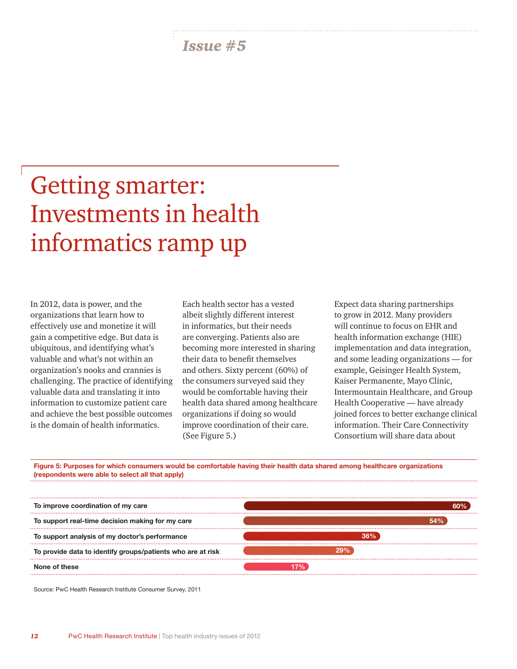## Getting smarter: Investments in health informatics ramp up

In 2012, data is power, and the organizations that learn how to effectively use and monetize it will gain a competitive edge. But data is ubiquitous, and identifying what's valuable and what's not within an organization's nooks and crannies is challenging. The practice of identifying valuable data and translating it into information to customize patient care and achieve the best possible outcomes is the domain of health informatics.

Each health sector has a vested albeit slightly different interest in informatics, but their needs are converging. Patients also are becoming more interested in sharing their data to benefit themselves and others. Sixty percent (60%) of the consumers surveyed said they would be comfortable having their health data shared among healthcare organizations if doing so would improve coordination of their care. (See Figure 5.)

Expect data sharing partnerships to grow in 2012. Many providers will continue to focus on EHR and health information exchange (HIE) implementation and data integration, and some leading organizations — for example, Geisinger Health System, Kaiser Permanente, Mayo Clinic, Intermountain Healthcare, and Group Health Cooperative — have already joined forces to better exchange clinical information. Their Care Connectivity Consortium will share data about

**36%**

**29%**

**17%**

**Figure 5: Purposes for which consumers would be comfortable having their health data shared among healthcare organizations (respondents were able to select all that apply) To improve coordination of my care To support real-time decision making for my care 60% 54%**

Source: PwC Health Research Institute Consumer Survey, 2011

**To provide data to identify groups/patients who are at risk** 

**To support analysis of my doctor's performance** 

**None of these**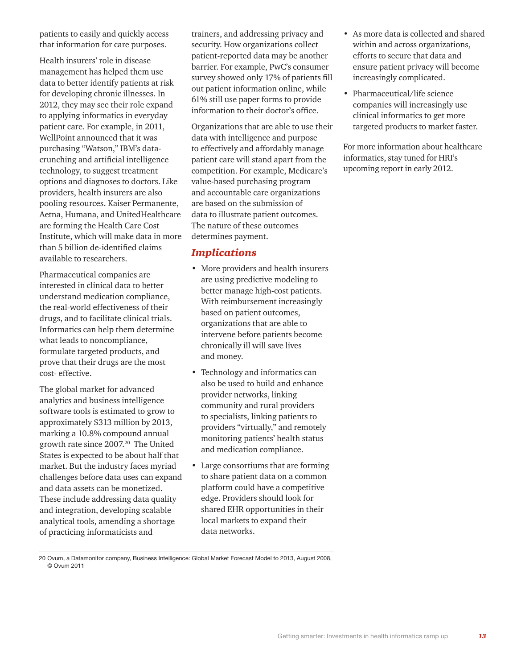patients to easily and quickly access that information for care purposes.

Health insurers' role in disease management has helped them use data to better identify patients at risk for developing chronic illnesses. In 2012, they may see their role expand to applying informatics in everyday patient care. For example, in 2011, WellPoint announced that it was purchasing "Watson," IBM's datacrunching and artificial intelligence technology, to suggest treatment options and diagnoses to doctors. Like providers, health insurers are also pooling resources. Kaiser Permanente, Aetna, Humana, and UnitedHealthcare are forming the Health Care Cost Institute, which will make data in more than 5 billion de-identified claims available to researchers.

Pharmaceutical companies are interested in clinical data to better understand medication compliance, the real-world effectiveness of their drugs, and to facilitate clinical trials. Informatics can help them determine what leads to noncompliance, formulate targeted products, and prove that their drugs are the most cost- effective.

The global market for advanced analytics and business intelligence software tools is estimated to grow to approximately \$313 million by 2013, marking a 10.8% compound annual growth rate since 2007.20 The United States is expected to be about half that market. But the industry faces myriad challenges before data uses can expand and data assets can be monetized. These include addressing data quality and integration, developing scalable analytical tools, amending a shortage of practicing informaticists and

trainers, and addressing privacy and security. How organizations collect patient-reported data may be another barrier. For example, PwC's consumer survey showed only 17% of patients fill out patient information online, while 61% still use paper forms to provide information to their doctor's office.

Organizations that are able to use their data with intelligence and purpose to effectively and affordably manage patient care will stand apart from the competition. For example, Medicare's value-based purchasing program and accountable care organizations are based on the submission of data to illustrate patient outcomes. The nature of these outcomes determines payment.

#### *Implications*

- More providers and health insurers are using predictive modeling to better manage high-cost patients. With reimbursement increasingly based on patient outcomes, organizations that are able to intervene before patients become chronically ill will save lives and money.
- Technology and informatics can also be used to build and enhance provider networks, linking community and rural providers to specialists, linking patients to providers "virtually," and remotely monitoring patients' health status and medication compliance.
- Large consortiums that are forming to share patient data on a common platform could have a competitive edge. Providers should look for shared EHR opportunities in their local markets to expand their data networks.

20 Ovum, a Datamonitor company, Business Intelligence: Global Market Forecast Model to 2013, August 2008, © Ovum 2011

- As more data is collected and shared within and across organizations, efforts to secure that data and ensure patient privacy will become increasingly complicated.
- Pharmaceutical/life science companies will increasingly use clinical informatics to get more targeted products to market faster.

For more information about healthcare informatics, stay tuned for HRI's upcoming report in early 2012.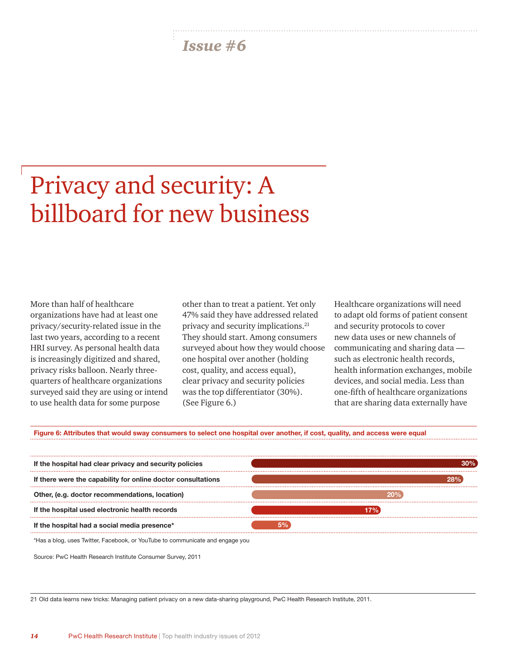## Privacy and security: A billboard for new business

More than half of healthcare organizations have had at least one privacy/security-related issue in the last two years, according to a recent HRI survey. As personal health data is increasingly digitized and shared, privacy risks balloon. Nearly threequarters of healthcare organizations surveyed said they are using or intend to use health data for some purpose

other than to treat a patient. Yet only 47% said they have addressed related privacy and security implications.21 They should start. Among consumers surveyed about how they would choose one hospital over another (holding cost, quality, and access equal), clear privacy and security policies was the top differentiator (30%). (See Figure 6.)

Healthcare organizations will need to adapt old forms of patient consent and security protocols to cover new data uses or new channels of communicating and sharing data such as electronic health records, health information exchanges, mobile devices, and social media. Less than one-fifth of healthcare organizations that are sharing data externally have

**Figure 6: Attributes that would sway consumers to select one hospital over another, if cost, quality, and access were equal**



\*Has a blog, uses Twitter, Facebook, or YouTube to communicate and engage you

Source: PwC Health Research Institute Consumer Survey, 2011

21 Old data learns new tricks: Managing patient privacy on a new data-sharing playground, PwC Health Research Institute, 2011.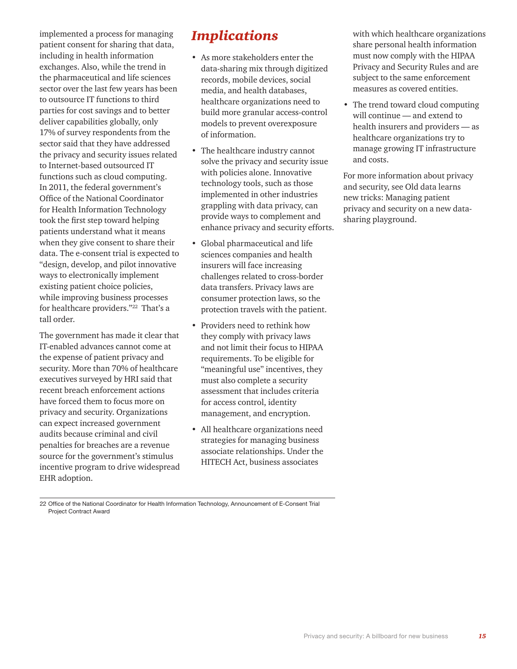implemented a process for managing patient consent for sharing that data, including in health information exchanges. Also, while the trend in the pharmaceutical and life sciences sector over the last few years has been to outsource IT functions to third parties for cost savings and to better deliver capabilities globally, only 17% of survey respondents from the sector said that they have addressed the privacy and security issues related to Internet-based outsourced IT functions such as cloud computing. In 2011, the federal government's Office of the National Coordinator for Health Information Technology took the first step toward helping patients understand what it means when they give consent to share their data. The e-consent trial is expected to "design, develop, and pilot innovative ways to electronically implement existing patient choice policies, while improving business processes for healthcare providers."22 That's a tall order.

The government has made it clear that IT-enabled advances cannot come at the expense of patient privacy and security. More than 70% of healthcare executives surveyed by HRI said that recent breach enforcement actions have forced them to focus more on privacy and security. Organizations can expect increased government audits because criminal and civil penalties for breaches are a revenue source for the government's stimulus incentive program to drive widespread EHR adoption.

### *Implications*

- As more stakeholders enter the data-sharing mix through digitized records, mobile devices, social media, and health databases, healthcare organizations need to build more granular access-control models to prevent overexposure of information.
- The healthcare industry cannot solve the privacy and security issue with policies alone. Innovative technology tools, such as those implemented in other industries grappling with data privacy, can provide ways to complement and enhance privacy and security efforts.
- Global pharmaceutical and life sciences companies and health insurers will face increasing challenges related to cross-border data transfers. Privacy laws are consumer protection laws, so the protection travels with the patient.
- Providers need to rethink how they comply with privacy laws and not limit their focus to HIPAA requirements. To be eligible for "meaningful use" incentives, they must also complete a security assessment that includes criteria for access control, identity management, and encryption.
- All healthcare organizations need strategies for managing business associate relationships. Under the HITECH Act, business associates

with which healthcare organizations share personal health information must now comply with the HIPAA Privacy and Security Rules and are subject to the same enforcement measures as covered entities.

• The trend toward cloud computing will continue — and extend to health insurers and providers — as healthcare organizations try to manage growing IT infrastructure and costs.

For more information about privacy and security, see [Old data learns](http://www.pwc.com/us/en/health-industries/publications/old-data-learns-new-tricks.jhtml)  [new tricks: Managing patient](http://www.pwc.com/us/en/health-industries/publications/old-data-learns-new-tricks.jhtml)  [privacy and security on a new data](http://www.pwc.com/us/en/health-industries/publications/old-data-learns-new-tricks.jhtml)[sharing playground.](http://www.pwc.com/us/en/health-industries/publications/old-data-learns-new-tricks.jhtml)

<sup>22</sup> Office of the National Coordinator for Health Information Technology, Announcement of E-Consent Trial Project Contract Award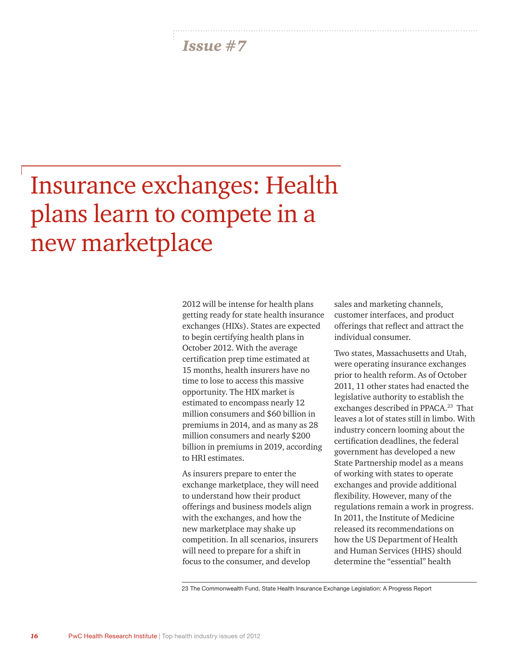## Insurance exchanges: Health plans learn to compete in a new marketplace

2012 will be intense for health plans getting ready for state health insurance exchanges (HIXs). States are expected to begin certifying health plans in October 2012. With the average certification prep time estimated at 15 months, health insurers have no time to lose to access this massive opportunity. The HIX market is estimated to encompass nearly 12 million consumers and \$60 billion in premiums in 2014, and as many as 28 million consumers and nearly \$200 billion in premiums in 2019, according to HRI estimates.

As insurers prepare to enter the exchange marketplace, they will need to understand how their product offerings and business models align with the exchanges, and how the new marketplace may shake up competition. In all scenarios, insurers will need to prepare for a shift in focus to the consumer, and develop

sales and marketing channels, customer interfaces, and product offerings that reflect and attract the individual consumer.

Two states, Massachusetts and Utah, were operating insurance exchanges prior to health reform. As of October 2011, 11 other states had enacted the legislative authority to establish the exchanges described in PPACA.<sup>23</sup> That leaves a lot of states still in limbo. With industry concern looming about the certification deadlines, the federal government has developed a new State Partnership model as a means of working with states to operate exchanges and provide additional flexibility. However, many of the regulations remain a work in progress. In 2011, the Institute of Medicine released its recommendations on how the US Department of Health and Human Services (HHS) should determine the "essential" health

23 The Commonwealth Fund, State Health Insurance Exchange Legislation: A Progress Report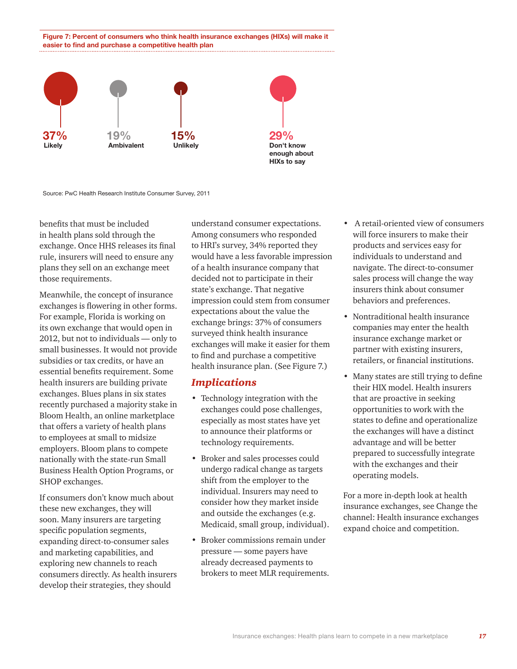**Figure 7: Percent of consumers who think health insurance exchanges (HIXs) will make it easier to find and purchase a competitive health plan**



Source: PwC Health Research Institute Consumer Survey, 2011

benefits that must be included in health plans sold through the exchange. Once HHS releases its final rule, insurers will need to ensure any plans they sell on an exchange meet those requirements.

Meanwhile, the concept of insurance exchanges is flowering in other forms. For example, Florida is working on its own exchange that would open in 2012, but not to individuals — only to small businesses. It would not provide subsidies or tax credits, or have an essential benefits requirement. Some health insurers are building private exchanges. Blues plans in six states recently purchased a majority stake in Bloom Health, an online marketplace that offers a variety of health plans to employees at small to midsize employers. Bloom plans to compete nationally with the state-run Small Business Health Option Programs, or SHOP exchanges.

If consumers don't know much about these new exchanges, they will soon. Many insurers are targeting specific population segments, expanding direct-to-consumer sales and marketing capabilities, and exploring new channels to reach consumers directly. As health insurers develop their strategies, they should

understand consumer expectations. Among consumers who responded to HRI's survey, 34% reported they would have a less favorable impression of a health insurance company that decided not to participate in their state's exchange. That negative impression could stem from consumer expectations about the value the exchange brings: 37% of consumers surveyed think health insurance exchanges will make it easier for them to find and purchase a competitive health insurance plan. (See Figure 7.)

#### *Implications*

- Technology integration with the exchanges could pose challenges, especially as most states have yet to announce their platforms or technology requirements.
- Broker and sales processes could undergo radical change as targets shift from the employer to the individual. Insurers may need to consider how they market inside and outside the exchanges (e.g. Medicaid, small group, individual).
- Broker commissions remain under pressure — some payers have already decreased payments to brokers to meet MLR requirements.
- A retail-oriented view of consumers will force insurers to make their products and services easy for individuals to understand and navigate. The direct-to-consumer sales process will change the way insurers think about consumer behaviors and preferences.
- Nontraditional health insurance companies may enter the health insurance exchange market or partner with existing insurers, retailers, or financial institutions.
- Many states are still trying to define their HIX model. Health insurers that are proactive in seeking opportunities to work with the states to define and operationalize the exchanges will have a distinct advantage and will be better prepared to successfully integrate with the exchanges and their operating models.

For a more in-depth look at health insurance exchanges, see [Change the](http://www.pwc.com/us/hix)  [channel: Health insurance exchanges](http://www.pwc.com/us/hix)  [expand choice and competition.](http://www.pwc.com/us/hix)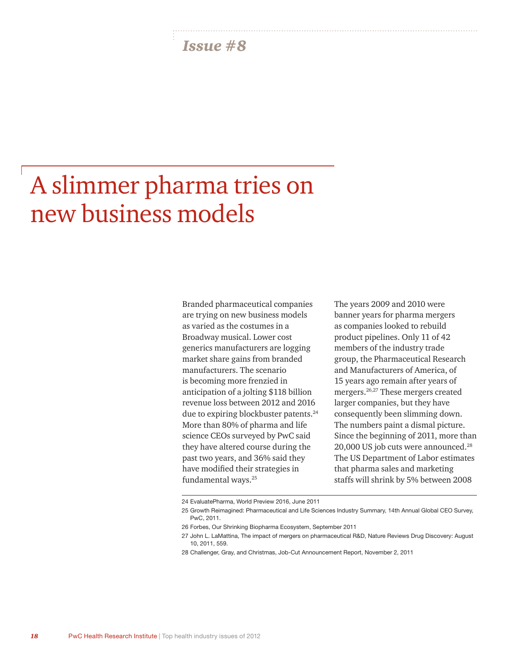## A slimmer pharma tries on new business models

Branded pharmaceutical companies are trying on new business models as varied as the costumes in a Broadway musical. Lower cost generics manufacturers are logging market share gains from branded manufacturers. The scenario is becoming more frenzied in anticipation of a jolting \$118 billion revenue loss between 2012 and 2016 due to expiring blockbuster patents.<sup>24</sup> More than 80% of pharma and life science CEOs surveyed by PwC said they have altered course during the past two years, and 36% said they have modified their strategies in fundamental ways.25

The years 2009 and 2010 were banner years for pharma mergers as companies looked to rebuild product pipelines. Only 11 of 42 members of the industry trade group, the Pharmaceutical Research and Manufacturers of America, of 15 years ago remain after years of mergers.26,27 These mergers created larger companies, but they have consequently been slimming down. The numbers paint a dismal picture. Since the beginning of 2011, more than 20,000 US job cuts were announced.28 The US Department of Labor estimates that pharma sales and marketing staffs will shrink by 5% between 2008

<sup>24</sup> EvaluatePharma, World Preview 2016, June 2011

<sup>25</sup> Growth Reimagined: Pharmaceutical and Life Sciences Industry Summary, 14th Annual Global CEO Survey, PwC, 2011.

<sup>26</sup> Forbes, Our Shrinking Biopharma Ecosystem, September 2011

<sup>27</sup> John L. LaMattina, The impact of mergers on pharmaceutical R&D, Nature Reviews Drug Discovery: August 10, 2011, 559.

<sup>28</sup> Challenger, Gray, and Christmas, Job-Cut Announcement Report, November 2, 2011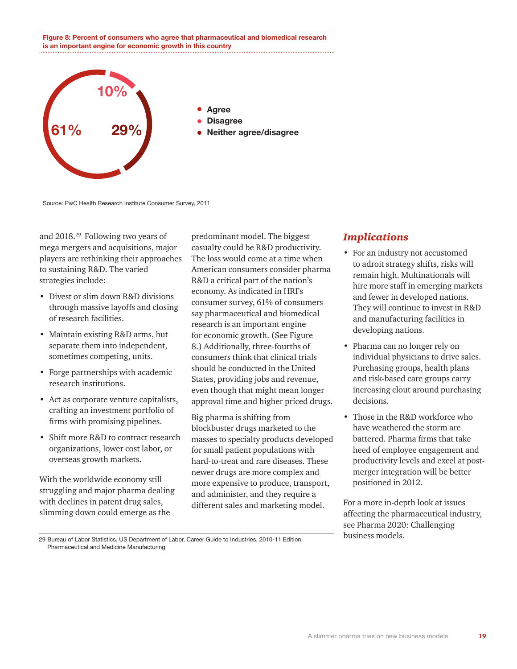**Figure 8: Percent of consumers who agree that pharmaceutical and biomedical research is an important engine for economic growth in this country**



Source: PwC Health Research Institute Consumer Survey, 2011

and 2018.29 Following two years of mega mergers and acquisitions, major players are rethinking their approaches to sustaining R&D. The varied strategies include:

- Divest or slim down R&D divisions through massive layoffs and closing of research facilities.
- Maintain existing R&D arms, but separate them into independent, sometimes competing, units.
- Forge partnerships with academic research institutions.
- Act as corporate venture capitalists, crafting an investment portfolio of firms with promising pipelines.
- Shift more R&D to contract research organizations, lower cost labor, or overseas growth markets.

With the worldwide economy still struggling and major pharma dealing with declines in patent drug sales, slimming down could emerge as the

predominant model. The biggest casualty could be R&D productivity. The loss would come at a time when American consumers consider pharma R&D a critical part of the nation's economy. As indicated in HRI's consumer survey, 61% of consumers say pharmaceutical and biomedical research is an important engine for economic growth. (See Figure 8.) Additionally, three-fourths of consumers think that clinical trials should be conducted in the United States, providing jobs and revenue, even though that might mean longer approval time and higher priced drugs.

Big pharma is shifting from blockbuster drugs marketed to the masses to specialty products developed for small patient populations with hard-to-treat and rare diseases. These newer drugs are more complex and more expensive to produce, transport, and administer, and they require a different sales and marketing model.

#### *Implications*

- For an industry not accustomed to adroit strategy shifts, risks will remain high. Multinationals will hire more staff in emerging markets and fewer in developed nations. They will continue to invest in R&D and manufacturing facilities in developing nations.
- Pharma can no longer rely on individual physicians to drive sales. Purchasing groups, health plans and risk-based care groups carry increasing clout around purchasing decisions.
- Those in the R&D workforce who have weathered the storm are battered. Pharma firms that take heed of employee engagement and productivity levels and excel at postmerger integration will be better positioned in 2012.

For a more in-depth look at issues affecting the pharmaceutical industry, see [Pharma 2020: Challenging](http://www.pwc.com/gx/en/pharma-life-sciences/pharma-2020-business-models/index.jhtml)  [business models.](http://www.pwc.com/gx/en/pharma-life-sciences/pharma-2020-business-models/index.jhtml) 

29 Bureau of Labor Statistics, US Department of Labor, Career Guide to Industries, 2010-11 Edition, Pharmaceutical and Medicine Manufacturing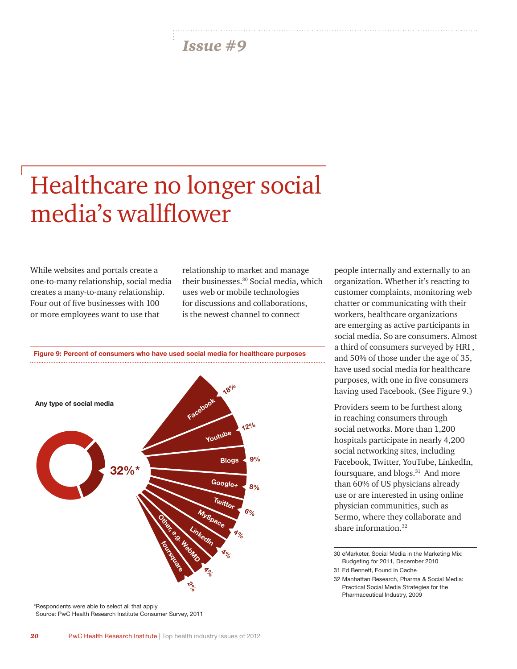# Healthcare no longer social media's wallflower

While websites and portals create a one-to-many relationship, social media creates a many-to-many relationship. Four out of five businesses with 100 or more employees want to use that

relationship to market and manage their businesses.30 Social media, which uses web or mobile technologies for discussions and collaborations, is the newest channel to connect



\*Respondents were able to select all that apply Source: PwC Health Research Institute Consumer Survey, 2011 people internally and externally to an organization. Whether it's reacting to customer complaints, monitoring web chatter or communicating with their workers, healthcare organizations are emerging as active participants in social media. So are consumers. Almost a third of consumers surveyed by HRI , and 50% of those under the age of 35, have used social media for healthcare purposes, with one in five consumers having used Facebook. (See Figure 9.)

Providers seem to be furthest along in reaching consumers through social networks. More than 1,200 hospitals participate in nearly 4,200 social networking sites, including Facebook, Twitter, YouTube, LinkedIn, foursquare, and blogs.<sup>31</sup> And more than 60% of US physicians already use or are interested in using online physician communities, such as Sermo, where they collaborate and share information.<sup>32</sup>

30 eMarketer, Social Media in the Marketing Mix: Budgeting for 2011, December 2010

31 Ed Bennett, Found in Cache

32 Manhattan Research, Pharma & Social Media: Practical Social Media Strategies for the Pharmaceutical Industry, 2009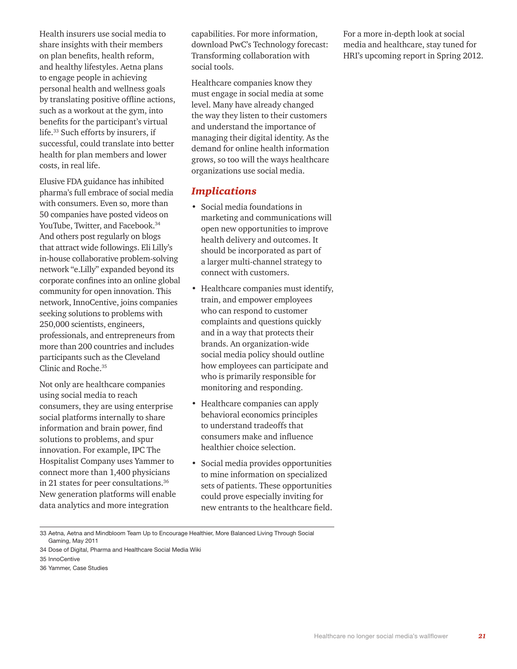Health insurers use social media to share insights with their members on plan benefits, health reform, and healthy lifestyles. Aetna plans to engage people in achieving personal health and wellness goals by translating positive offline actions, such as a workout at the gym, into benefits for the participant's virtual life.33 Such efforts by insurers, if successful, could translate into better health for plan members and lower costs, in real life.

Elusive FDA guidance has inhibited pharma's full embrace of social media with consumers. Even so, more than 50 companies have posted videos on YouTube, Twitter, and Facebook.<sup>34</sup> And others post regularly on blogs that attract wide followings. Eli Lilly's in-house collaborative problem-solving network "e.Lilly" expanded beyond its corporate confines into an online global community for open innovation. This network, InnoCentive, joins companies seeking solutions to problems with 250,000 scientists, engineers, professionals, and entrepreneurs from more than 200 countries and includes participants such as the Cleveland Clinic and Roche.<sup>35</sup>

Not only are healthcare companies using social media to reach consumers, they are using enterprise social platforms internally to share information and brain power, find solutions to problems, and spur innovation. For example, IPC The Hospitalist Company uses Yammer to connect more than 1,400 physicians in 21 states for peer consultations.36 New generation platforms will enable data analytics and more integration

capabilities. For more information, download PwC's [Technology forecast:](http://www.pwc.com/techforecast)  [Transforming collaboration with](http://www.pwc.com/techforecast)  [social tools.](http://www.pwc.com/techforecast) 

Healthcare companies know they must engage in social media at some level. Many have already changed the way they listen to their customers and understand the importance of managing their digital identity. As the demand for online health information grows, so too will the ways healthcare organizations use social media.

#### *Implications*

- Social media foundations in marketing and communications will open new opportunities to improve health delivery and outcomes. It should be incorporated as part of a larger multi-channel strategy to connect with customers.
- Healthcare companies must identify, train, and empower employees who can respond to customer complaints and questions quickly and in a way that protects their brands. An organization-wide social media policy should outline how employees can participate and who is primarily responsible for monitoring and responding.
- Healthcare companies can apply behavioral economics principles to understand tradeoffs that consumers make and influence healthier choice selection.
- Social media provides opportunities to mine information on specialized sets of patients. These opportunities could prove especially inviting for new entrants to the healthcare field.

33 Aetna, Aetna and Mindbloom Team Up to Encourage Healthier, More Balanced Living Through Social Gaming, May 2011

For a more in-depth look at social media and healthcare, stay tuned for HRI's upcoming report in Spring 2012.

<sup>34</sup> Dose of Digital, Pharma and Healthcare Social Media Wiki

<sup>35</sup> InnoCentive

<sup>36</sup> Yammer, Case Studies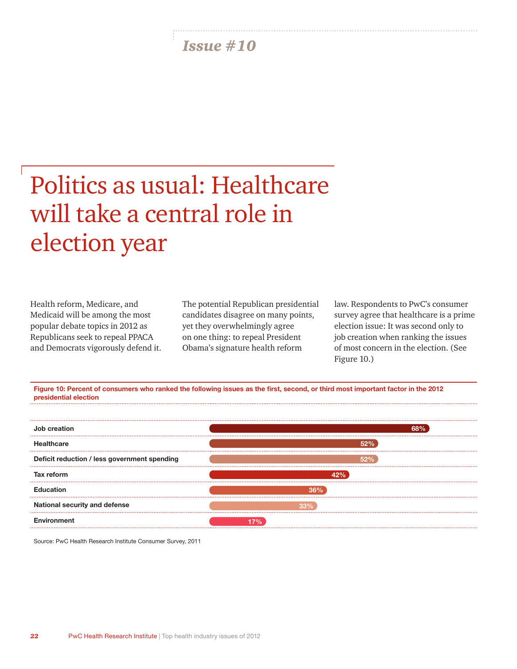# Politics as usual: Healthcare will take a central role in election year

Health reform, Medicare, and Medicaid will be among the most popular debate topics in 2012 as Republicans seek to repeal PPACA and Democrats vigorously defend it. The potential Republican presidential candidates disagree on many points, yet they overwhelmingly agree on one thing: to repeal President Obama's signature health reform

law. Respondents to PwC's consumer survey agree that healthcare is a prime election issue: It was second only to job creation when ranking the issues of most concern in the election. (See Figure 10.)





Source: PwC Health Research Institute Consumer Survey, 2011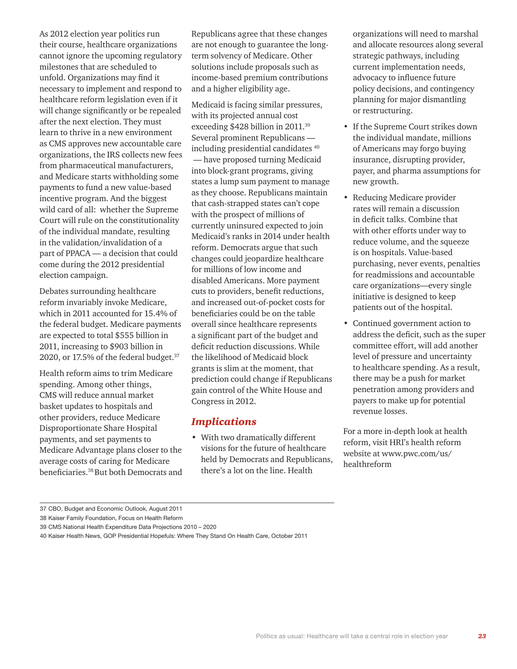As 2012 election year politics run their course, healthcare organizations cannot ignore the upcoming regulatory milestones that are scheduled to unfold. Organizations may find it necessary to implement and respond to healthcare reform legislation even if it will change significantly or be repealed after the next election. They must learn to thrive in a new environment as CMS approves new accountable care organizations, the IRS collects new fees from pharmaceutical manufacturers, and Medicare starts withholding some payments to fund a new value-based incentive program. And the biggest wild card of all: whether the Supreme Court will rule on the constitutionality of the individual mandate, resulting in the validation/invalidation of a part of PPACA — a decision that could come during the 2012 presidential election campaign.

Debates surrounding healthcare reform invariably invoke Medicare, which in 2011 accounted for 15.4% of the federal budget. Medicare payments are expected to total \$555 billion in 2011, increasing to \$903 billion in 2020, or 17.5% of the federal budget.37

Health reform aims to trim Medicare spending. Among other things, CMS will reduce annual market basket updates to hospitals and other providers, reduce Medicare Disproportionate Share Hospital payments, and set payments to Medicare Advantage plans closer to the average costs of caring for Medicare beneficiaries.38 But both Democrats and Republicans agree that these changes are not enough to guarantee the longterm solvency of Medicare. Other solutions include proposals such as income-based premium contributions and a higher eligibility age.

Medicaid is facing similar pressures, with its projected annual cost exceeding \$428 billion in 2011.39 Several prominent Republicans including presidential candidates 40 — have proposed turning Medicaid into block-grant programs, giving states a lump sum payment to manage as they choose. Republicans maintain that cash-strapped states can't cope with the prospect of millions of currently uninsured expected to join Medicaid's ranks in 2014 under health reform. Democrats argue that such changes could jeopardize healthcare for millions of low income and disabled Americans. More payment cuts to providers, benefit reductions, and increased out-of-pocket costs for beneficiaries could be on the table overall since healthcare represents a significant part of the budget and deficit reduction discussions. While the likelihood of Medicaid block grants is slim at the moment, that prediction could change if Republicans gain control of the White House and Congress in 2012.

#### *Implications*

• With two dramatically different visions for the future of healthcare held by Democrats and Republicans, there's a lot on the line. Health

organizations will need to marshal and allocate resources along several strategic pathways, including current implementation needs, advocacy to influence future policy decisions, and contingency planning for major dismantling or restructuring.

- If the Supreme Court strikes down the individual mandate, millions of Americans may forgo buying insurance, disrupting provider, payer, and pharma assumptions for new growth.
- Reducing Medicare provider rates will remain a discussion in deficit talks. Combine that with other efforts under way to reduce volume, and the squeeze is on hospitals. Value-based purchasing, never events, penalties for readmissions and accountable care organizations—every single initiative is designed to keep patients out of the hospital.
- Continued government action to address the deficit, such as the super committee effort, will add another level of pressure and uncertainty to healthcare spending. As a result, there may be a push for market penetration among providers and payers to make up for potential revenue losses.

For a more in-depth look at health reform, visit HRI's health reform website at [www.pwc.com/us/](www.pwc.com/us/healthreform) [healthreform](www.pwc.com/us/healthreform)

<sup>37</sup> CBO, Budget and Economic Outlook, August 2011

<sup>38</sup> Kaiser Family Foundation, Focus on Health Reform

<sup>39</sup> CMS National Health Expenditure Data Projections 2010 – 2020

<sup>40</sup> Kaiser Health News, GOP Presidential Hopefuls: Where They Stand On Health Care, October 2011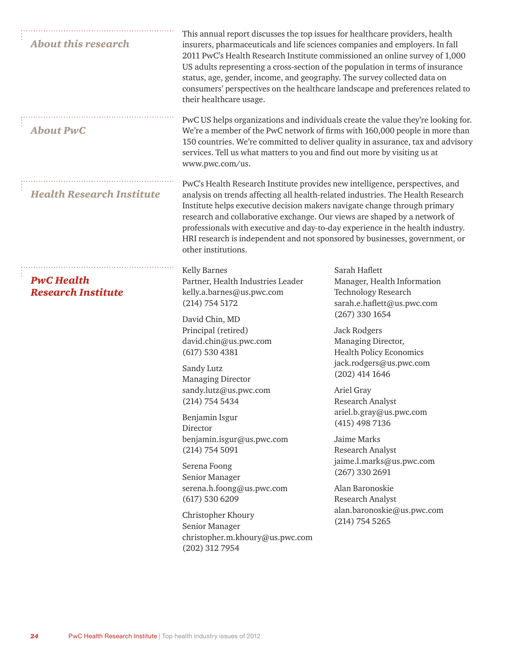| <b>About this research</b>                     | This annual report discusses the top issues for healthcare providers, health<br>insurers, pharmaceuticals and life sciences companies and employers. In fall<br>2011 PwC's Health Research Institute commissioned an online survey of 1,000<br>US adults representing a cross-section of the population in terms of insurance<br>status, age, gender, income, and geography. The survey collected data on<br>consumers' perspectives on the healthcare landscape and preferences related to<br>their healthcare usage. |                                                                                                                                                                                                      |
|------------------------------------------------|------------------------------------------------------------------------------------------------------------------------------------------------------------------------------------------------------------------------------------------------------------------------------------------------------------------------------------------------------------------------------------------------------------------------------------------------------------------------------------------------------------------------|------------------------------------------------------------------------------------------------------------------------------------------------------------------------------------------------------|
| <b>About PwC</b>                               | PwC US helps organizations and individuals create the value they're looking for.<br>We're a member of the PwC network of firms with 160,000 people in more than<br>150 countries. We're committed to deliver quality in assurance, tax and advisory<br>services. Tell us what matters to you and find out more by visiting us at<br>www.pwc.com/us.                                                                                                                                                                    |                                                                                                                                                                                                      |
| <b>Health Research Institute</b>               | PwC's Health Research Institute provides new intelligence, perspectives, and<br>analysis on trends affecting all health-related industries. The Health Research<br>Institute helps executive decision makers navigate change through primary<br>research and collaborative exchange. Our views are shaped by a network of<br>professionals with executive and day-to-day experience in the health industry.<br>HRI research is independent and not sponsored by businesses, government, or<br>other institutions.      |                                                                                                                                                                                                      |
| <b>PwC Health</b><br><b>Research Institute</b> | <b>Kelly Barnes</b><br>Partner, Health Industries Leader<br>kelly.a.barnes@us.pwc.com<br>$(214)$ 754 5172                                                                                                                                                                                                                                                                                                                                                                                                              | Sarah Haflett<br>Manager, Health Information<br><b>Technology Research</b><br>sarah.e.haflett@us.pwc.com<br>$(267)$ 330 1654<br>Jack Rodgers<br>Managing Director,<br><b>Health Policy Economics</b> |
|                                                | David Chin, MD<br>Principal (retired)<br>david.chin@us.pwc.com<br>(617) 530 4381                                                                                                                                                                                                                                                                                                                                                                                                                                       |                                                                                                                                                                                                      |
|                                                | Sandy Lutz<br><b>Managing Director</b><br>sandy.lutz@us.pwc.com<br>$(214)$ 754 5434                                                                                                                                                                                                                                                                                                                                                                                                                                    | jack.rodgers@us.pwc.com<br>$(202)$ 414 1646<br>Ariel Gray<br>Research Analyst                                                                                                                        |
|                                                | Benjamin Isgur<br>Director<br>benjamin.isgur@us.pwc.com<br>(214) 754 5091                                                                                                                                                                                                                                                                                                                                                                                                                                              | ariel.b.gray@us.pwc.com<br>$(415)$ 498 7136<br>Jaime Marks<br>Research Analyst                                                                                                                       |
|                                                | Serena Foong<br>Senior Manager                                                                                                                                                                                                                                                                                                                                                                                                                                                                                         | jaime.l.marks@us.pwc.com<br>$(267)$ 330 2691                                                                                                                                                         |
|                                                | serena.h.foong@us.pwc.com<br>(617) 530 6209                                                                                                                                                                                                                                                                                                                                                                                                                                                                            | Alan Baronoskie<br>Research Analyst                                                                                                                                                                  |
|                                                | Christopher Khoury<br>Senior Manager<br>christopher.m.khoury@us.pwc.com<br>(202) 312 7954                                                                                                                                                                                                                                                                                                                                                                                                                              | alan.baronoskie@us.pwc.com<br>$(214)$ 754 5265                                                                                                                                                       |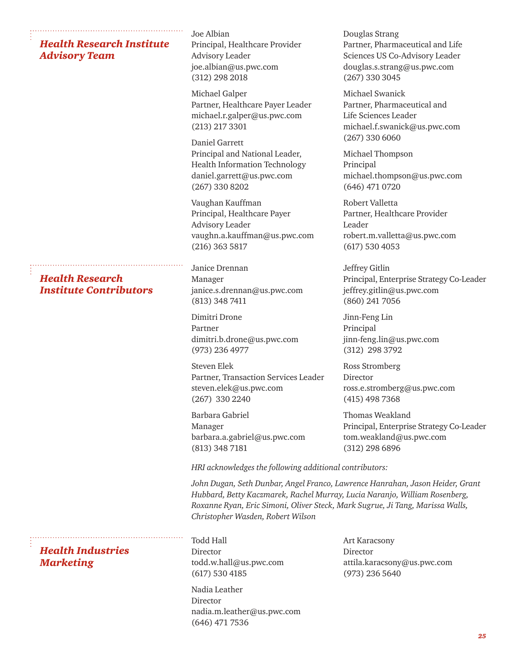#### *Health Research Institute Advisory Team*

*Health Research Institute Contributors*

*Health Industries Marketing*

Joe Albian Principal, Healthcare Provider Advisory Leader joe.albian@us.pwc.com (312) 298 2018

Michael Galper Partner, Healthcare Payer Leader michael.r.galper@us.pwc.com (213) 217 3301

Daniel Garrett Principal and National Leader, Health Information Technology daniel.garrett@us.pwc.com (267) 330 8202

Vaughan Kauffman Principal, Healthcare Payer Advisory Leader vaughn.a.kauffman@us.pwc.com (216) 363 5817

Janice Drennan Manager janice.s.drennan@us.pwc.com (813) 348 7411

Dimitri Drone Partner dimitri.b.drone@us.pwc.com (973) 236 4977

Steven Elek Partner, Transaction Services Leader steven.elek@us.pwc.com (267) 330 2240

Barbara Gabriel Manager barbara.a.gabriel@us.pwc.com (813) 348 7181

Douglas Strang Partner, Pharmaceutical and Life Sciences US Co-Advisory Leader douglas.s.strang@us.pwc.com (267) 330 3045

Michael Swanick Partner, Pharmaceutical and Life Sciences Leader michael.f.swanick@us.pwc.com (267) 330 6060

Michael Thompson Principal michael.thompson@us.pwc.com (646) 471 0720

Robert Valletta Partner, Healthcare Provider Leader robert.m.valletta@us.pwc.com (617) 530 4053

Jeffrey Gitlin Principal, Enterprise Strategy Co-Leader jeffrey.gitlin@us.pwc.com (860) 241 7056

Jinn-Feng Lin Principal jinn-feng.lin@us.pwc.com (312) 298 3792

Ross Stromberg Director ross.e.stromberg@us.pwc.com (415) 498 7368

Thomas Weakland Principal, Enterprise Strategy Co-Leader tom.weakland@us.pwc.com (312) 298 6896

*HRI acknowledges the following additional contributors:*

*John Dugan, Seth Dunbar, Angel Franco, Lawrence Hanrahan, Jason Heider, Grant Hubbard, Betty Kaczmarek, Rachel Murray, Lucia Naranjo, William Rosenberg, Roxanne Ryan, Eric Simoni, Oliver Steck, Mark Sugrue, Ji Tang, Marissa Walls, Christopher Wasden, Robert Wilson*

Todd Hall Director todd.w.hall@us.pwc.com (617) 530 4185

Nadia Leather Director nadia.m.leather@us.pwc.com (646) 471 7536

Art Karacsony Director attila.karacsony@us.pwc.com (973) 236 5640